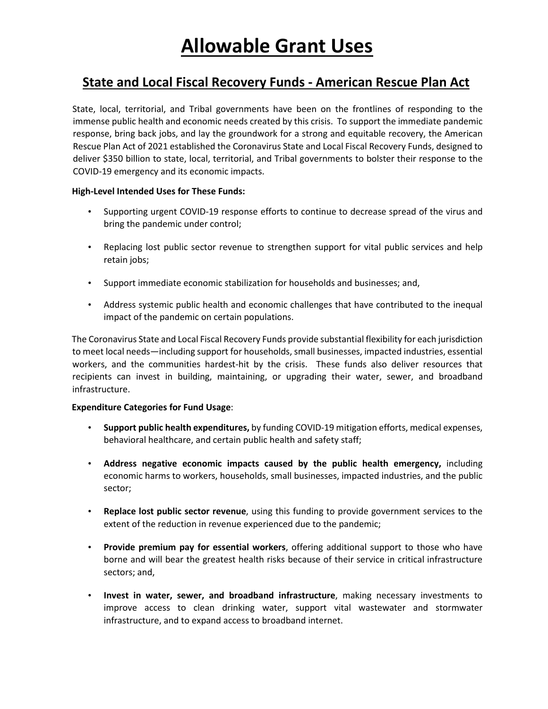# **State and Local Fiscal Recovery Funds - American Rescue Plan Act**

State, local, territorial, and Tribal governments have been on the frontlines of responding to the immense public health and economic needs created by this crisis. To support the immediate pandemic response, bring back jobs, and lay the groundwork for a strong and equitable recovery, the American Rescue Plan Act of 2021 established the Coronavirus State and Local Fiscal Recovery Funds, designed to deliver \$350 billion to state, local, territorial, and Tribal governments to bolster their response to the COVID-19 emergency and its economic impacts.

### **High-Level Intended Uses for These Funds:**

- Supporting urgent COVID-19 response efforts to continue to decrease spread of the virus and bring the pandemic under control;
- Replacing lost public sector revenue to strengthen support for vital public services and help retain jobs;
- Support immediate economic stabilization for households and businesses; and,
- Address systemic public health and economic challenges that have contributed to the inequal impact of the pandemic on certain populations.

The Coronavirus State and Local Fiscal Recovery Funds provide substantial flexibility for each jurisdiction to meet local needs—including support for households, small businesses, impacted industries, essential workers, and the communities hardest-hit by the crisis. These funds also deliver resources that recipients can invest in building, maintaining, or upgrading their water, sewer, and broadband infrastructure.

### **Expenditure Categories for Fund Usage**:

- **Support public health expenditures,** by funding COVID-19 mitigation efforts, medical expenses, behavioral healthcare, and certain public health and safety staff;
- **Address negative economic impacts caused by the public health emergency,** including economic harms to workers, households, small businesses, impacted industries, and the public sector;
- **Replace lost public sector revenue**, using this funding to provide government services to the extent of the reduction in revenue experienced due to the pandemic;
- **Provide premium pay for essential workers**, offering additional support to those who have borne and will bear the greatest health risks because of their service in critical infrastructure sectors; and,
- **Invest in water, sewer, and broadband infrastructure**, making necessary investments to improve access to clean drinking water, support vital wastewater and stormwater infrastructure, and to expand access to broadband internet.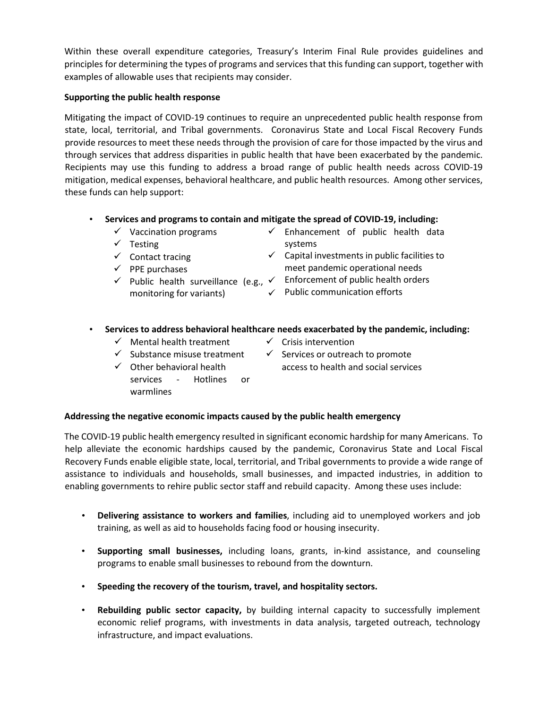Within these overall expenditure categories, Treasury's Interim Final Rule provides guidelines and principles for determining the types of programs and services that this funding can support, together with examples of allowable uses that recipients may consider.

## **Supporting the public health response**

Mitigating the impact of COVID-19 continues to require an unprecedented public health response from state, local, territorial, and Tribal governments. Coronavirus State and Local Fiscal Recovery Funds provide resources to meet these needs through the provision of care for those impacted by the virus and through services that address disparities in public health that have been exacerbated by the pandemic. Recipients may use this funding to address a broad range of public health needs across COVID-19 mitigation, medical expenses, behavioral healthcare, and public health resources. Among other services, these funds can help support:

## • **Services and programs to contain and mitigate the spread of COVID-19, including:**

- $\checkmark$  Vaccination programs
- $\checkmark$  Testing
- $\checkmark$  Enhancement of public health data systems
- $\checkmark$  Contact tracing  $\checkmark$  PPE purchases
- monitoring for variants)
- $\checkmark$  Capital investments in public facilities to meet pandemic operational needs
- $\checkmark$  Public health surveillance (e.g.,  $\checkmark$  Enforcement of public health orders
	- $\checkmark$  Public communication efforts

# • **Services to address behavioral healthcare needs exacerbated by the pandemic, including:**

- $\checkmark$  Mental health treatment
- $\checkmark$  Crisis intervention
- $\checkmark$  Substance misuse treatment
- $\checkmark$  Services or outreach to promote access to health and social services
- Other behavioral health
	- services Hotlines or warmlines

# **Addressing the negative economic impacts caused by the public health emergency**

The COVID-19 public health emergency resulted in significant economic hardship for many Americans. To help alleviate the economic hardships caused by the pandemic, Coronavirus State and Local Fiscal Recovery Funds enable eligible state, local, territorial, and Tribal governments to provide a wide range of assistance to individuals and households, small businesses, and impacted industries, in addition to enabling governments to rehire public sector staff and rebuild capacity. Among these uses include:

- **Delivering assistance to workers and families**, including aid to unemployed workers and job training, as well as aid to households facing food or housing insecurity.
- **Supporting small businesses,** including loans, grants, in-kind assistance, and counseling programs to enable small businesses to rebound from the downturn.
- **Speeding the recovery of the tourism, travel, and hospitality sectors.**
- **Rebuilding public sector capacity,** by building internal capacity to successfully implement economic relief programs, with investments in data analysis, targeted outreach, technology infrastructure, and impact evaluations.